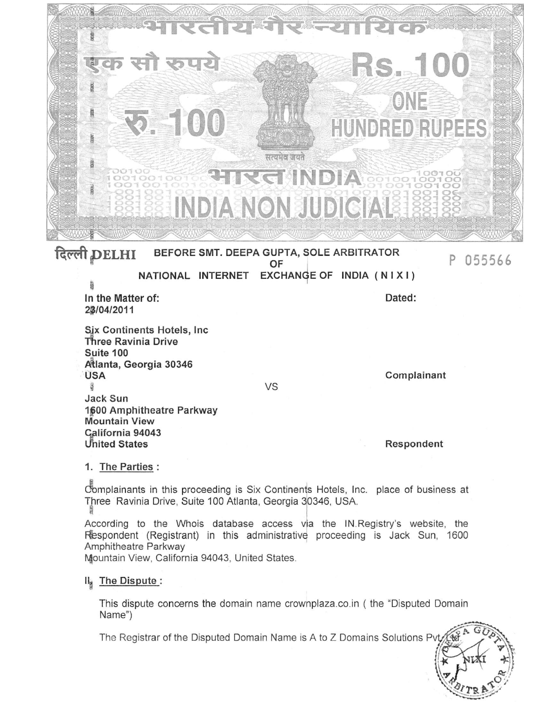| भारतीय गैर न्यायि<br>CD <sup>2</sup><br>एक सौ रुपये<br>RS., 100<br>ONE<br><b>R. 100</b><br><b>HUNDRED RUPEES</b><br>सत्यमेव जयते<br>EED<br><b>HIRGHNDIA</b> 881881881<br><b>INDIA NON JUDICIALE 18881888</b><br>दिल्ली DELHI<br>BEFORE SMT. DEEPA GUPTA, SOLE ARBITRATOR<br>055566<br>OF |                                 |
|------------------------------------------------------------------------------------------------------------------------------------------------------------------------------------------------------------------------------------------------------------------------------------------|---------------------------------|
| NATIONAL INTERNET EXCHANGE OF INDIA (NIXI)                                                                                                                                                                                                                                               |                                 |
| In the Matter of:<br>28/04/2011                                                                                                                                                                                                                                                          | Dated:                          |
| Six Continents Hotels, Inc<br>Three Ravinia Drive<br>Suite 100<br>Atlanta, Georgia 30346<br><b>USA</b><br>36<br>Jack Sun<br>1600 Amphitheatre Parkway<br><b>Mountain View</b><br>Galifornia 94043<br>United States                                                                       | Complainant<br>VS<br>Respondent |
| 1. The Parties:                                                                                                                                                                                                                                                                          |                                 |
| Complainants in this proceeding is Six Continents Hotels, Inc. place of business at<br>Three Ravinia Drive, Suite 100 Atlanta, Georgia 30346, USA.                                                                                                                                       |                                 |
| According to the Whois database access via the IN. Registry's website, the<br>Respondent (Registrant) in this administrative proceeding is Jack Sun, 1600<br>Amphitheatre Parkway<br>Mountain View, California 94043, United States.                                                     |                                 |
| Il <sub>s</sub> The Dispute:                                                                                                                                                                                                                                                             |                                 |

This dispute concerns the domain name crownplaza.co.in ( the "Disputed Domain Name")

The Registrar of the Disputed Domain Name is A to Z Domains Solutions Pv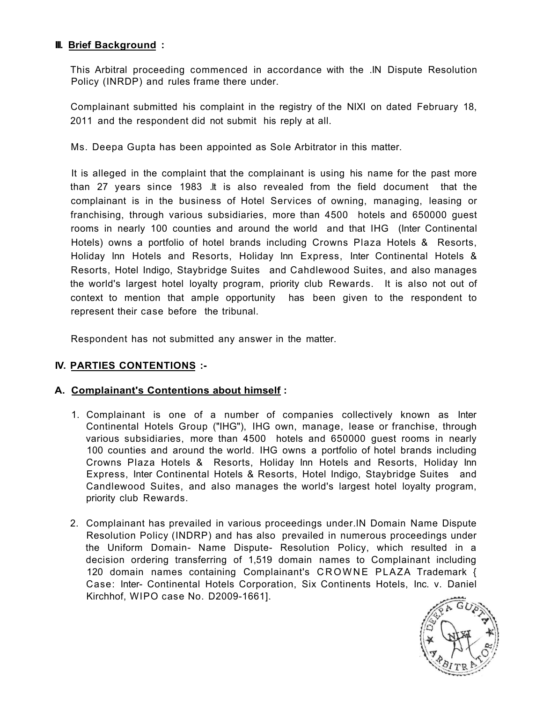#### **III. Brief Background :**

This Arbitral proceeding commenced in accordance with the .IN Dispute Resolution Policy (INRDP) and rules frame there under.

Complainant submitted his complaint in the registry of the NIXI on dated February 18, 2011 and the respondent did not submit his reply at all.

Ms. Deepa Gupta has been appointed as Sole Arbitrator in this matter.

It is alleged in the complaint that the complainant is using his name for the past more than 27 years since 1983 .It is also revealed from the field document that the complainant is in the business of Hotel Services of owning, managing, leasing or franchising, through various subsidiaries, more than 4500 hotels and 650000 guest rooms in nearly 100 counties and around the world and that IHG (Inter Continental Hotels) owns a portfolio of hotel brands including Crowns Plaza Hotels & Resorts, Holiday Inn Hotels and Resorts, Holiday Inn Express, Inter Continental Hotels & Resorts, Hotel Indigo, Staybridge Suites and Cahdlewood Suites, and also manages the world's largest hotel loyalty program, priority club Rewards. It is also not out of context to mention that ample opportunity has been given to the respondent to represent their case before the tribunal.

Respondent has not submitted any answer in the matter.

## **IV. PARTIES CONTENTIONS :-**

## **A. Complainant's Contentions about himself :**

- 1. Complainant is one of a number of companies collectively known as Inter Continental Hotels Group ("IHG"), IHG own, manage, lease or franchise, through various subsidiaries, more than 4500 hotels and 650000 guest rooms in nearly 100 counties and around the world. IHG owns a portfolio of hotel brands including Crowns Plaza Hotels & Resorts, Holiday Inn Hotels and Resorts, Holiday Inn Express, Inter Continental Hotels & Resorts, Hotel Indigo, Staybridge Suites and Candlewood Suites, and also manages the world's largest hotel loyalty program, priority club Rewards.
- 2. Complainant has prevailed in various proceedings under.lN Domain Name Dispute Resolution Policy (INDRP) and has also prevailed in numerous proceedings under the Uniform Domain- Name Dispute- Resolution Policy, which resulted in a decision ordering transferring of 1,519 domain names to Complainant including 120 domain names containing Complainant's CROWNE PLAZA Trademark { Case: Inter- Continental Hotels Corporation, Six Continents Hotels, Inc. v. Daniel Kirchhof, WIPO case No. D2009-1661].

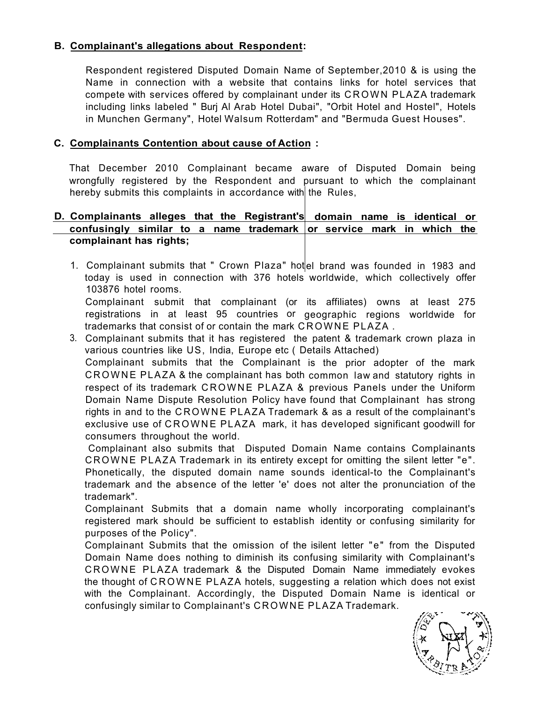# **B. Complainant's allegations about Respondent:**

Respondent registered Disputed Domain Name of September,2010 & is using the Name in connection with a website that contains links for hotel services that compete with services offered by complainant under its CROWN PLAZA trademark including links labeled " Burj Al Arab Hotel Dubai", "Orbit Hotel and Hostel", Hotels in Munchen Germany", Hotel Walsum Rotterdam" and "Bermuda Guest Houses".

#### **C. Complainants Contention about cause of Action :**

That December 2010 Complainant became aware of Disputed Domain being wrongfully registered by the Respondent and pursuant to which the complainant hereby submits this complaints in accordance with the Rules,

#### **D. Complainants alleges that the Registrant's domain name is identical or**  confusingly similar to a name trademark or service mark in which the **complainant has rights;**

1. Complainant submits that " Crown Plaza" hotel brand was founded in 1983 and today is used in connection with 376 hotels worldwide, which collectively offer 103876 hotel rooms. Complainant submit that complainant (or its affiliates) owns at least 275 registrations in at least 95 countries or geographic regions worldwide for

3. Complainant submits that it has registered the patent & trademark crown plaza in trademarks that consist of or contain the mark CROWNE PLAZA.

various countries like US, India, Europe etc ( Details Attached) Complainant submits that the Complainant is the prior adopter of the mark CROWN E PLAZA & the complainant has both common law and statutory rights in respect of its trademark CROWNE PLAZA & previous Panels under the Uniform Domain Name Dispute Resolution Policy have found that Complainant has strong rights in and to the CROWNE PLAZA Trademark & as a result of the complainant's exclusive use of CROWNE PLAZA mark, it has developed significant goodwill for consumers throughout the world.

Complainant also submits that Disputed Domain Name contains Complainants CROWN E PLAZA Trademark in its entirety except for omitting the silent letter "e". Phonetically, the disputed domain name sounds identical-to the Complainant's trademark and the absence of the letter 'e' does not alter the pronunciation of the trademark".

Complainant Submits that a domain name wholly incorporating complainant's registered mark should be sufficient to establish identity or confusing similarity for purposes of the Policy".

Complainant Submits that the omission of the isilent letter "e" from the Disputed Domain Name does nothing to diminish its confusing similarity with Complainant's CROWN E PLAZA trademark & the Disputed Domain Name immediately evokes the thought of CROWN E PLAZA hotels, suggesting a relation which does not exist with the Complainant. Accordingly, the Disputed Domain Name is identical or confusingly similar to Complainant's CROWNE PLAZA Trademark.

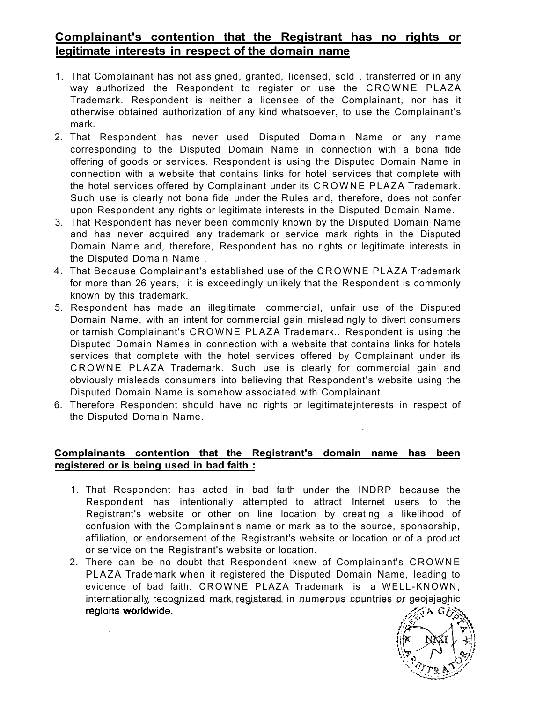# **Complainant's contention that the Registrant has no rights or legitimate interests in respect of the domain name**

- 1. That Complainant has not assigned, granted, licensed, sold , transferred or in any way authorized the Respondent to register or use the CROWNE PLAZA Trademark. Respondent is neither a licensee of the Complainant, nor has it otherwise obtained authorization of any kind whatsoever, to use the Complainant's mark.
- 2. That Respondent has never used Disputed Domain Name or any name corresponding to the Disputed Domain Name in connection with a bona fide offering of goods or services. Respondent is using the Disputed Domain Name in connection with a website that contains links for hotel services that complete with the hotel services offered by Complainant under its CROWNE PLAZA Trademark. Such use is clearly not bona fide under the Rules and, therefore, does not confer upon Respondent any rights or legitimate interests in the Disputed Domain Name.
- 3. That Respondent has never been commonly known by the Disputed Domain Name and has never acquired any trademark or service mark rights in the Disputed Domain Name and, therefore, Respondent has no rights or legitimate interests in the Disputed Domain Name .
- 4. That Because Complainant's established use of the CROWNE PLAZA Trademark for more than 26 years, it is exceedingly unlikely that the Respondent is commonly known by this trademark.
- 5. Respondent has made an illegitimate, commercial, unfair use of the Disputed Domain Name, with an intent for commercial gain misleadingly to divert consumers or tarnish Complainant's CROWN E PLAZA Trademark.. Respondent is using the Disputed Domain Names in connection with a website that contains links for hotels services that complete with the hotel services offered by Complainant under its CROWN E PLAZA Trademark. Such use is clearly for commercial gain and obviously misleads consumers into believing that Respondent's website using the Disputed Domain Name is somehow associated with Complainant.
- 6. Therefore Respondent should have no rights or legitimatejnterests in respect of the Disputed Domain Name.

•

#### **Complainants contention that the Registrant's domain name has been registered or is being used in bad faith :**

- 1. That Respondent has acted in bad faith under the INDRP because the Respondent has intentionally attempted to attract Internet users to the Registrant's website or other on line location by creating a likelihood of confusion with the Complainant's name or mark as to the source, sponsorship, affiliation, or endorsement of the Registrant's website or location or of a product or service on the Registrant's website or location.
- 2. There can be no doubt that Respondent knew of Complainant's CROWNE PLAZA Trademark when it registered the Disputed Domain Name, leading to evidence of bad faith. CROWNE PLAZA Trademark is a WELL-KNOWN, internationally recognized mark registered in numerous countries or geojajaghic regions worldwide.

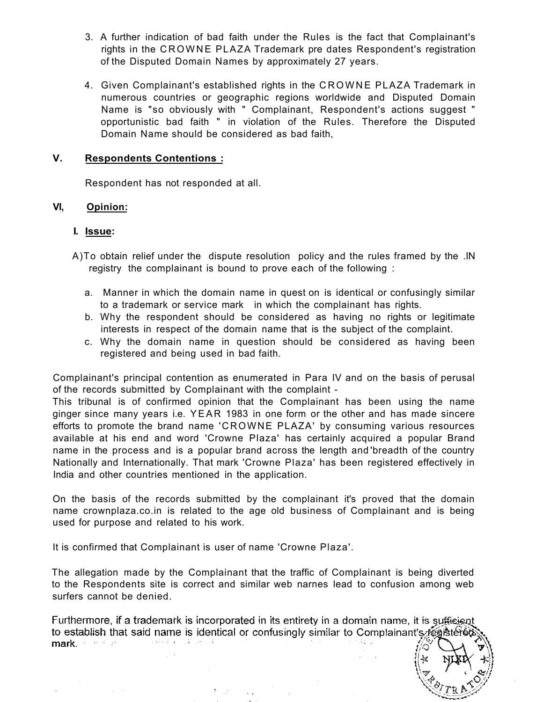- 3. A further indication of bad faith under the Rules is the fact that Complainant's rights in the CROWNE PLAZA Trademark pre dates Respondent's registration of the Disputed Domain Names by approximately 27 years.
- 4. Given Complainant's established rights in the CROWN E PLAZA Trademark in numerous countries or geographic regions worldwide and Disputed Domain Name is "so obviously with " Complainant, Respondent's actions suggest " opportunistic bad faith " in violation of the Rules. Therefore the Disputed Domain Name should be considered as bad faith,

#### **V. Respondents Contentions :**

Respondent has not responded at all.

#### **VI, Opinion:**

#### **I. Issue:**

- A)To obtain relief under the dispute resolution policy and the rules framed by the .IN registry the complainant is bound to prove each of the following :
	- a. Manner in which the domain name in quest on is identical or confusingly similar to a trademark or service mark in which the complainant has rights.
	- b. Why the respondent should be considered as having no rights or legitimate interests in respect of the domain name that is the subject of the complaint.
	- c. Why the domain name in question should be considered as having been registered and being used in bad faith.

Complainant's principal contention as enumerated in Para IV and on the basis of perusal of the records submitted by Complainant with the complaint -

This tribunal is of confirmed opinion that the Complainant has been using the name ginger since many years i.e. YEAR 1983 in one form or the other and has made sincere efforts to promote the brand name 'CROWNE PLAZA' by consuming various resources available at his end and word 'Crowne Plaza' has certainly acquired a popular Brand name in the process and is a popular brand across the length and 'breadth of the country Nationally and Internationally. That mark 'Crowne Plaza' has been registered effectively in India and other countries mentioned in the application.

On the basis of the records submitted by the complainant it's proved that the domain name crownplaza.co.in is related to the age old business of Complainant and is being used for purpose and related to his work.

It is confirmed that Complainant is user of name 'Crowne Plaza'.

To gen

The allegation made by the Complainant that the traffic of Complainant is being diverted to the Respondents site is correct and similar web narnes lead to confusion among web surfers cannot be denied.

Furthermore, if a trademark is incorporated in its entirety in a domain name, it is sufficient to establish that said name is identical or confusingly similar to Complainant's régistered where  $\mathcal{L}(\mathbf{q}) = \mathcal{L}(\mathbf{q})$  and  $\mathcal{L}(\mathbf{q}) = \mathcal{L}(\mathbf{q})$ mark. The control of the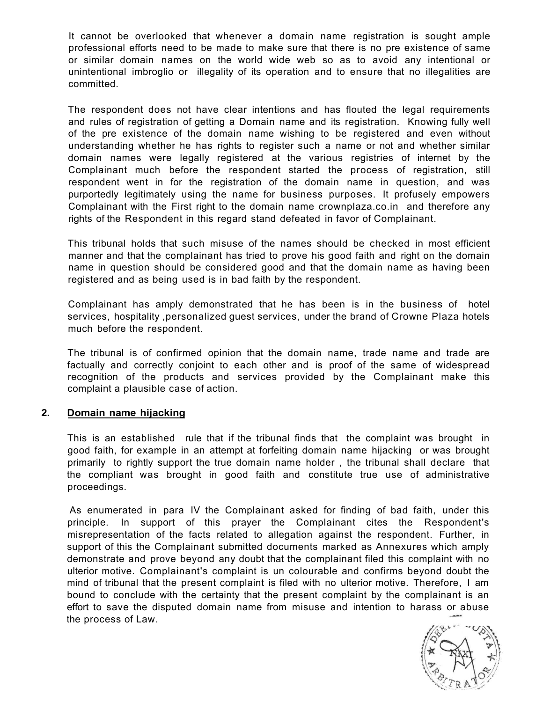It cannot be overlooked that whenever a domain name registration is sought ample professional efforts need to be made to make sure that there is no pre existence of same or similar domain names on the world wide web so as to avoid any intentional or unintentional imbroglio or illegality of its operation and to ensure that no illegalities are committed.

The respondent does not have clear intentions and has flouted the legal requirements and rules of registration of getting a Domain name and its registration. Knowing fully well of the pre existence of the domain name wishing to be registered and even without understanding whether he has rights to register such a name or not and whether similar domain names were legally registered at the various registries of internet by the Complainant much before the respondent started the process of registration, still respondent went in for the registration of the domain name in question, and was purportedly legitimately using the name for business purposes. It profusely empowers Complainant with the First right to the domain name crownplaza.co.in and therefore any rights of the Respondent in this regard stand defeated in favor of Complainant.

This tribunal holds that such misuse of the names should be checked in most efficient manner and that the complainant has tried to prove his good faith and right on the domain name in question should be considered good and that the domain name as having been registered and as being used is in bad faith by the respondent.

Complainant has amply demonstrated that he has been is in the business of hotel services, hospitality ,personalized guest services, under the brand of Crowne Plaza hotels much before the respondent.

The tribunal is of confirmed opinion that the domain name, trade name and trade are factually and correctly conjoint to each other and is proof of the same of widespread recognition of the products and services provided by the Complainant make this complaint a plausible case of action.

#### **2. Domain name hijacking**

This is an established rule that if the tribunal finds that the complaint was brought in good faith, for example in an attempt at forfeiting domain name hijacking or was brought primarily to rightly support the true domain name holder , the tribunal shall declare that the compliant was brought in good faith and constitute true use of administrative proceedings.

As enumerated in para IV the Complainant asked for finding of bad faith, under this principle. In support of this prayer the Complainant cites the Respondent's misrepresentation of the facts related to allegation against the respondent. Further, in support of this the Complainant submitted documents marked as Annexures which amply demonstrate and prove beyond any doubt that the complainant filed this complaint with no ulterior motive. Complainant's complaint is un colourable and confirms beyond doubt the mind of tribunal that the present complaint is filed with no ulterior motive. Therefore, I am bound to conclude with the certainty that the present complaint by the complainant is an effort to save the disputed domain name from misuse and intention to harass or abuse the process of Law.